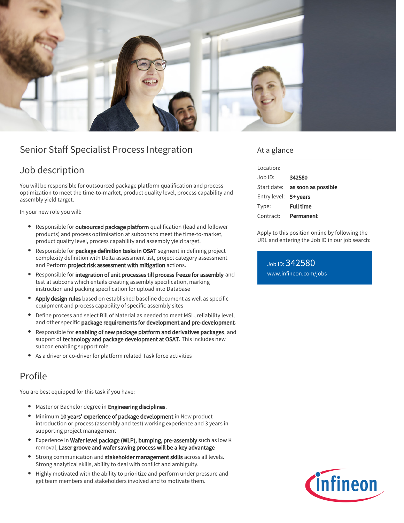

# Senior Staff Specialist Process Integration

## Job description

You will be responsible for outsourced package platform qualification and process optimization to meet the time-to-market, product quality level, process capability and assembly yield target.

In your new role you will:

- Responsible for **outsourced package platform** qualification (lead and follower products) and process optimisation at subcons to meet the time-to-market, product quality level, process capability and assembly yield target.
- Responsible for package definition tasks in OSAT segment in defining project complexity definition with Delta assessment list, project category assessment and Perform project risk assessment with mitigation actions.
- Responsible for integration of unit processes till process freeze for assembly and test at subcons which entails creating assembly specification, marking instruction and packing specification for upload into Database
- Apply design rules based on established baseline document as well as specific equipment and process capability of specific assembly sites
- Define process and select Bill of Material as needed to meet MSL, reliability level, and other specific package requirements for development and pre-development.
- Responsible for enabling of new package platform and derivatives packages, and support of technology and package development at OSAT. This includes new subcon enabling support role.
- As a driver or co-driver for platform related Task force activities

### Profile

You are best equipped for this task if you have:

- Master or Bachelor degree in Engineering disciplines.
- Minimum 10 years' experience of package development in New product  $\bullet$ introduction or process (assembly and test) working experience and 3 years in supporting project management
- Experience in Wafer level package (WLP), bumping, pre-assembly such as low K removal, Laser groove and wafer sawing process will be a key advantage
- Strong communication and stakeholder management skills across all levels. Strong analytical skills, ability to deal with conflict and ambiguity.
- Highly motivated with the ability to prioritize and perform under pressure and get team members and stakeholders involved and to motivate them.

### At a glance

| Location:             |                                        |
|-----------------------|----------------------------------------|
| $Joh$ ID:             | 342580                                 |
|                       | Start date: <b>as soon as possible</b> |
| Entry level: 5+ years |                                        |
| Type:                 | <b>Full time</b>                       |
| Contract:             | Permanent                              |

Apply to this position online by following the URL and entering the Job ID in our job search:

Job ID: 342580 [www.infineon.com/jobs](https://www.infineon.com/jobs)